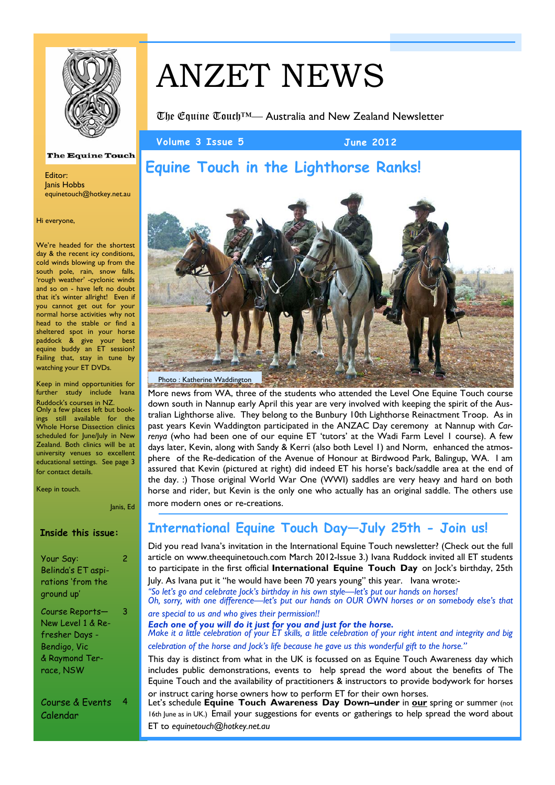

# ANZET NEWS

The Equine Touch™— Australia and New Zealand Newsletter

**Volume 3 Issue 5 June 2012** 

## **Equine Touch in the Lighthorse Ranks!**

Photo : Katherine Waddington

More news from WA, three of the students who attended the Level One Equine Touch course down south in Nannup early April this year are very involved with keeping the spirit of the Australian Lighthorse alive. They belong to the Bunbury 10th Lighthorse Reinactment Troop. As in past years Kevin Waddington participated in the ANZAC Day ceremony at Nannup with *Carrenya* (who had been one of our equine ET 'tutors' at the Wadi Farm Level 1 course). A few days later, Kevin, along with Sandy & Kerri (also both Level 1) and Norm, enhanced the atmosphere of the Re-dedication of the Avenue of Honour at Birdwood Park, Balingup, WA. I am assured that Kevin (pictured at right) did indeed ET his horse's back/saddle area at the end of the day. :) Those original World War One (WWI) saddles are very heavy and hard on both horse and rider, but Kevin is the only one who actually has an original saddle. The others use more modern ones or re-creations.

### **International Equine Touch Day—July 25th - Join us!**

Did you read Ivana's invitation in the International Equine Touch newsletter? (Check out the full article on www.theequinetouch.com March 2012-Issue 3.) Ivana Ruddock invited all ET students to participate in the first official **International Equine Touch Day** on Jock's birthday, 25th July. As Ivana put it "he would have been 70 years young" this year. Ivana wrote:- *"So let's go and celebrate Jock's birthday in his own style—let's put our hands on horses! Oh, sorry, with one difference—let's put our hands on OUR OWN horses or on somebody else's that are special to us and who gives their permission!! Each one of you will do it just for you and just for the horse. Make it a little celebration of your ET skills, a little celebration of your right intent and integrity and big celebration of the horse and Jock's life because he gave us this wonderful gift to the horse."*  This day is distinct from what in the UK is focussed on as Equine Touch Awareness day which

includes public demonstrations, events to help spread the word about the benefits of The Equine Touch and the availability of practitioners & instructors to provide bodywork for horses or instruct caring horse owners how to perform ET for their own horses. Let's schedule **Equine Touch Awareness Day Down–under** in **our** spring or summer (not

16th June as in UK.) Email your suggestions for events or gatherings to help spread the word about ET to *equinetouch@hotkey.net.au*

#### **The Equine Touch**

Editor: Janis Hobbs equinetouch@hotkey.net.au

#### Hi everyone,

We're headed for the shortest day & the recent icy conditions, cold winds blowing up from the south pole, rain, snow falls, 'rough weather' -cyclonic winds and so on - have left no doubt that it's winter allright! Even if you cannot get out for your normal horse activities why not head to the stable or find a sheltered spot in your horse paddock & give your best equine buddy an ET session? Failing that, stay in tune by watching your ET DVDs.

Keep in mind opportunities for further study include Ivana Ruddock's courses in NZ. Only a few places left but bookings still available for the Whole Horse Dissection clinics scheduled for June/July in New Zealand. Both clinics will be at university venues so excellent educational settings. See page 3 for contact details.

Keep in touch.

Janis, Ed

 $\overline{2}$ 

3

#### **Inside this issue:**

Your Say: Belinda's ET aspirations 'from the ground up'

Course Reports— New Level 1 & Refresher Days - Bendigo, Vic & Raymond Terrace, NSW

Course & Events 4 Calendar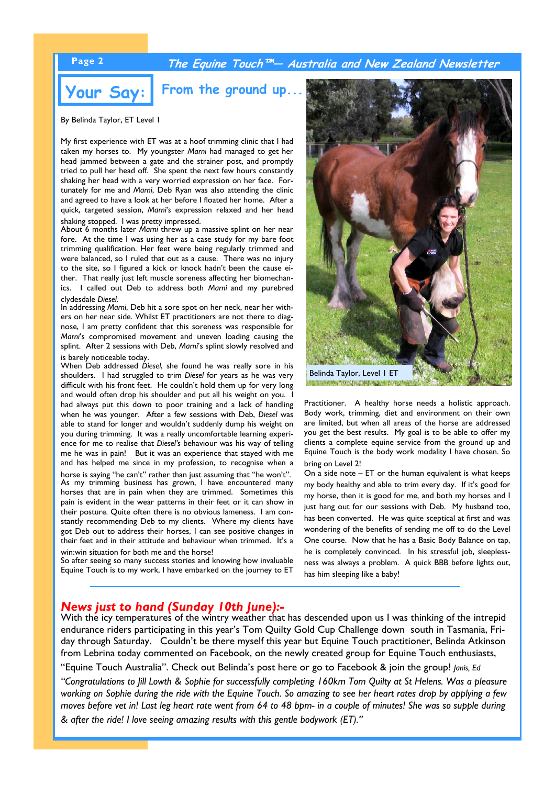### **Page 2 The Equine Touch™— Australia and New Zealand Newsletter**

#### **Your Say:**  From the ground up.

By Belinda Taylor, ET Level 1

My first experience with ET was at a hoof trimming clinic that I had taken my horses to. My youngster *Marni* had managed to get her head jammed between a gate and the strainer post, and promptly tried to pull her head off. She spent the next few hours constantly shaking her head with a very worried expression on her face. Fortunately for me and *Marni*, Deb Ryan was also attending the clinic and agreed to have a look at her before I floated her home. After a quick, targeted session, *Marni's* expression relaxed and her head shaking stopped. I was pretty impressed.

About 6 months later *Marni* threw up a massive splint on her near fore. At the time I was using her as a case study for my bare foot trimming qualification. Her feet were being regularly trimmed and were balanced, so I ruled that out as a cause. There was no injury to the site, so I figured a kick or knock hadn't been the cause either. That really just left muscle soreness affecting her biomechanics. I called out Deb to address both *Marni* and my purebred clydesdale *Diesel*. In addressing *Marni*, Deb hit a sore spot on her neck, near her with-

ers on her near side. Whilst ET practitioners are not there to diagnose, I am pretty confident that this soreness was responsible for *Marni*'s compromised movement and uneven loading causing the splint. After 2 sessions with Deb, *Marni*'s splint slowly resolved and is barely noticeable today.

When Deb addressed *Diesel*, she found he was really sore in his shoulders. I had struggled to trim *Diesel* for years as he was very difficult with his front feet. He couldn't hold them up for very long and would often drop his shoulder and put all his weight on you. I had always put this down to poor training and a lack of handling when he was younger. After a few sessions with Deb, *Diesel* was able to stand for longer and wouldn't suddenly dump his weight on you during trimming. It was a really uncomfortable learning experience for me to realise that *Diesel's* behaviour was his way of telling me he was in pain! But it was an experience that stayed with me and has helped me since in my profession, to recognise when a horse is saying "he can't" rather than just assuming that "he won't". As my trimming business has grown, I have encountered many horses that are in pain when they are trimmed. Sometimes this pain is evident in the wear patterns in their feet or it can show in their posture. Quite often there is no obvious lameness. I am constantly recommending Deb to my clients. Where my clients have got Deb out to address their horses, I can see positive changes in their feet and in their attitude and behaviour when trimmed. It's a win:win situation for both me and the horse!

So after seeing so many success stories and knowing how invaluable Equine Touch is to my work, I have embarked on the journey to ET



Practitioner. A healthy horse needs a holistic approach. Body work, trimming, diet and environment on their own are limited, but when all areas of the horse are addressed you get the best results. My goal is to be able to offer my clients a complete equine service from the ground up and Equine Touch is the body work modality I have chosen. So bring on Level 2!

On a side note – ET or the human equivalent is what keeps my body healthy and able to trim every day. If it's good for my horse, then it is good for me, and both my horses and I just hang out for our sessions with Deb. My husband too, has been converted. He was quite sceptical at first and was wondering of the benefits of sending me off to do the Level One course. Now that he has a Basic Body Balance on tap, he is completely convinced. In his stressful job, sleeplessness was always a problem. A quick BBB before lights out, has him sleeping like a baby!

### *News just to hand (Sunday 10th June):-*

With the icy temperatures of the wintry weather that has descended upon us I was thinking of the intrepid endurance riders participating in this year's Tom Quilty Gold Cup Challenge down south in Tasmania, Friday through Saturday. Couldn't be there myself this year but Equine Touch practitioner, Belinda Atkinson from Lebrina today commented on Facebook, on the newly created group for Equine Touch enthusiasts,

"Equine Touch Australia". Check out Belinda's post here or go to Facebook & join the group! *Janis, Ed* 

*"Congratulations to Jill Lowth & Sophie for successfully completing 160km Tom Quilty at St Helens. Was a pleasure working on Sophie during the ride with the Equine Touch. So amazing to see her heart rates drop by applying a few moves before vet in! Last leg heart rate went from 64 to 48 bpm- in a couple of minutes! She was so supple during & after the ride! I love seeing amazing results with this gentle bodywork (ET)."*